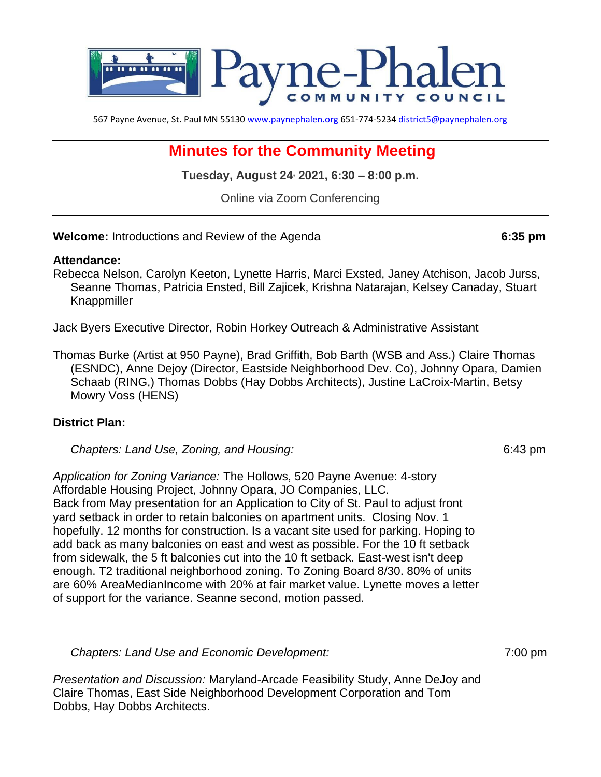

567 Payne Avenue, St. Paul MN 55130 [www.paynephalen.org](http://www.paynephalen.org/) 651-774-5234 [district5@paynephalen.org](mailto:district5@paynephalen.org)

# **Minutes for the Community Meeting**

**Tuesday, August 24, 2021, 6:30 – 8:00 p.m.**

Online via Zoom Conferencing

**Welcome:** Introductions and Review of the Agenda **6:35 pm**

#### **Attendance:**

Rebecca Nelson, Carolyn Keeton, Lynette Harris, Marci Exsted, Janey Atchison, Jacob Jurss, Seanne Thomas, Patricia Ensted, Bill Zajicek, Krishna Natarajan, Kelsey Canaday, Stuart Knappmiller

Jack Byers Executive Director, Robin Horkey Outreach & Administrative Assistant

Thomas Burke (Artist at 950 Payne), Brad Griffith, Bob Barth (WSB and Ass.) Claire Thomas (ESNDC), Anne Dejoy (Director, Eastside Neighborhood Dev. Co), Johnny Opara, Damien Schaab (RING,) Thomas Dobbs (Hay Dobbs Architects), Justine LaCroix-Martin, Betsy Mowry Voss (HENS)

#### **District Plan:**

#### *Chapters: Land Use, Zoning, and Housing:* 6:43 pm

*Application for Zoning Variance:* The Hollows, 520 Payne Avenue: 4-story Affordable Housing Project, Johnny Opara, JO Companies, LLC. Back from May presentation for an Application to City of St. Paul to adjust front yard setback in order to retain balconies on apartment units. Closing Nov. 1 hopefully. 12 months for construction. Is a vacant site used for parking. Hoping to add back as many balconies on east and west as possible. For the 10 ft setback from sidewalk, the 5 ft balconies cut into the 10 ft setback. East-west isn't deep enough. T2 traditional neighborhood zoning. To Zoning Board 8/30. 80% of units are 60% AreaMedianIncome with 20% at fair market value. Lynette moves a letter of support for the variance. Seanne second, motion passed.

*Chapters: Land Use and Economic Development:* 7:00 pm

*Presentation and Discussion:* Maryland-Arcade Feasibility Study, Anne DeJoy and Claire Thomas, East Side Neighborhood Development Corporation and Tom Dobbs, Hay Dobbs Architects.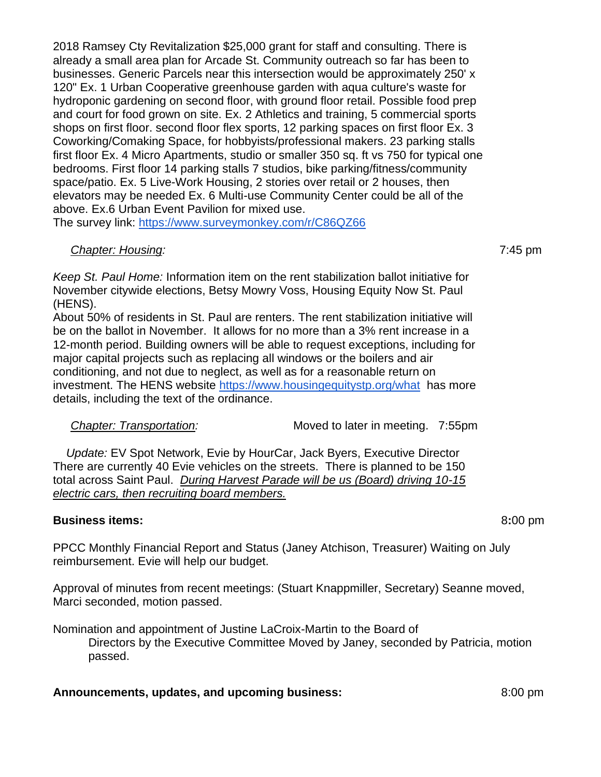2018 Ramsey Cty Revitalization \$25,000 grant for staff and consulting. There is already a small area plan for Arcade St. Community outreach so far has been to businesses. Generic Parcels near this intersection would be approximately 250' x 120" Ex. 1 Urban Cooperative greenhouse garden with aqua culture's waste for hydroponic gardening on second floor, with ground floor retail. Possible food prep and court for food grown on site. Ex. 2 Athletics and training, 5 commercial sports shops on first floor. second floor flex sports, 12 parking spaces on first floor Ex. 3 Coworking/Comaking Space, for hobbyists/professional makers. 23 parking stalls first floor Ex. 4 Micro Apartments, studio or smaller 350 sq. ft vs 750 for typical one bedrooms. First floor 14 parking stalls 7 studios, bike parking/fitness/community space/patio. Ex. 5 Live-Work Housing, 2 stories over retail or 2 houses, then elevators may be needed Ex. 6 Multi-use Community Center could be all of the above. Ex.6 Urban Event Pavilion for mixed use.

The survey link:<https://www.surveymonkey.com/r/C86QZ66>

## *Chapter: Housing:* 7:45 pm

*Keep St. Paul Home:* Information item on the rent stabilization ballot initiative for November citywide elections, Betsy Mowry Voss, Housing Equity Now St. Paul (HENS).

About 50% of residents in St. Paul are renters. The rent stabilization initiative will be on the ballot in November. It allows for no more than a 3% rent increase in a 12-month period. Building owners will be able to request exceptions, including for major capital projects such as replacing all windows or the boilers and air conditioning, and not due to neglect, as well as for a reasonable return on investment. The HENS website<https://www.housingequitystp.org/what>has more details, including the text of the ordinance.

| <b>Chapter: Transportation:</b> | Moved to later in meeting. 7:55pm |  |
|---------------------------------|-----------------------------------|--|
|                                 |                                   |  |

 *Update:* EV Spot Network, Evie by HourCar, Jack Byers, Executive Director There are currently 40 Evie vehicles on the streets. There is planned to be 150 total across Saint Paul. *During Harvest Parade will be us (Board) driving 10-15 electric cars, then recruiting board members.*

## **Business items:** 8**:**00 pm

PPCC Monthly Financial Report and Status (Janey Atchison, Treasurer) Waiting on July reimbursement. Evie will help our budget.

Approval of minutes from recent meetings: (Stuart Knappmiller, Secretary) Seanne moved, Marci seconded, motion passed.

Nomination and appointment of Justine LaCroix-Martin to the Board of

Directors by the Executive Committee Moved by Janey, seconded by Patricia, motion passed.

## **Announcements, updates, and upcoming business:**  $\qquad \qquad 8:00 \text{ pm}$